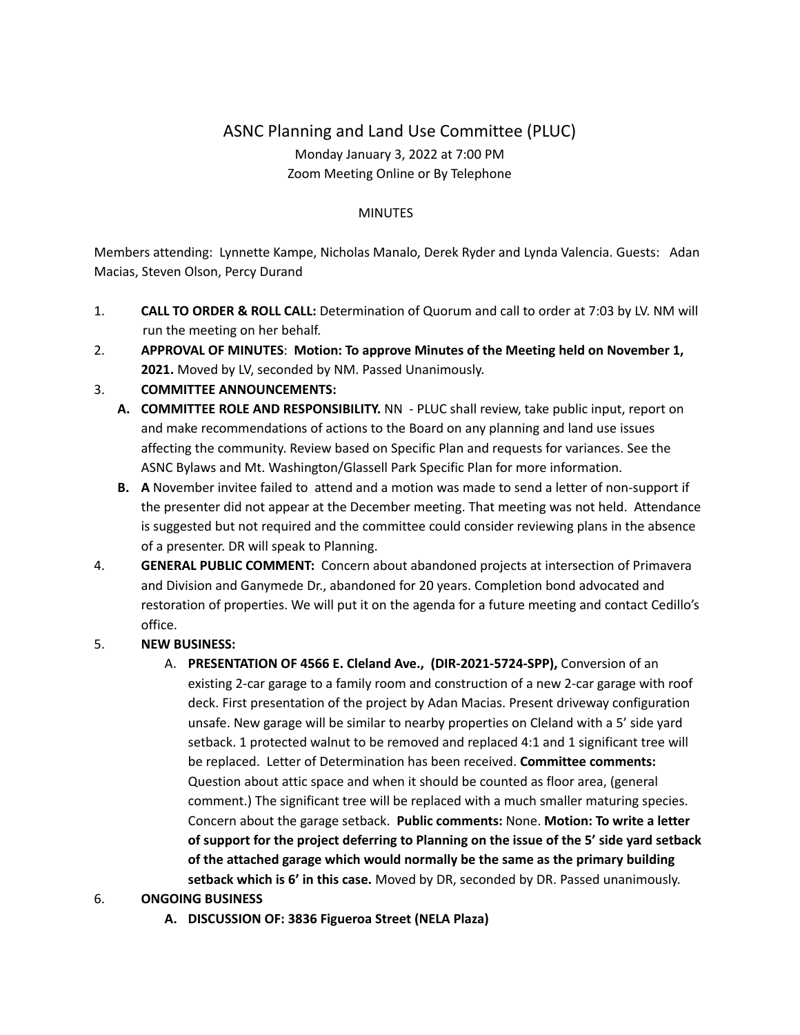# ASNC Planning and Land Use Committee (PLUC) Monday January 3, 2022 at 7:00 PM Zoom Meeting Online or By Telephone

#### **MINUTES**

Members attending: Lynnette Kampe, Nicholas Manalo, Derek Ryder and Lynda Valencia. Guests: Adan Macias, Steven Olson, Percy Durand

- 1. **CALL TO ORDER & ROLL CALL:** Determination of Quorum and call to order at 7:03 by LV. NM will run the meeting on her behalf.
- 2. **APPROVAL OF MINUTES**: **Motion: To approve Minutes of the Meeting held on November 1, 2021.** Moved by LV, seconded by NM. Passed Unanimously.

### 3. **COMMITTEE ANNOUNCEMENTS:**

- **A. COMMITTEE ROLE AND RESPONSIBILITY.** NN PLUC shall review, take public input, report on and make recommendations of actions to the Board on any planning and land use issues affecting the community. Review based on Specific Plan and requests for variances. See the ASNC Bylaws and Mt. Washington/Glassell Park Specific Plan for more information.
- **B. A** November invitee failed to attend and a motion was made to send a letter of non-support if the presenter did not appear at the December meeting. That meeting was not held. Attendance is suggested but not required and the committee could consider reviewing plans in the absence of a presenter. DR will speak to Planning.
- 4. **GENERAL PUBLIC COMMENT:** Concern about abandoned projects at intersection of Primavera and Division and Ganymede Dr., abandoned for 20 years. Completion bond advocated and restoration of properties. We will put it on the agenda for a future meeting and contact Cedillo's office.

# 5. **NEW BUSINESS:**

A. **PRESENTATION OF 4566 E. Cleland Ave., (DIR-2021-5724-SPP),** Conversion of an existing 2-car garage to a family room and construction of a new 2-car garage with roof deck. First presentation of the project by Adan Macias. Present driveway configuration unsafe. New garage will be similar to nearby properties on Cleland with a 5' side yard setback. 1 protected walnut to be removed and replaced 4:1 and 1 significant tree will be replaced. Letter of Determination has been received. **Committee comments:** Question about attic space and when it should be counted as floor area, (general comment.) The significant tree will be replaced with a much smaller maturing species. Concern about the garage setback. **Public comments:** None. **Motion: To write a letter of support for the project deferring to Planning on the issue of the 5' side yard setback of the attached garage which would normally be the same as the primary building setback which is 6' in this case.** Moved by DR, seconded by DR. Passed unanimously.

# 6. **ONGOING BUSINESS**

**A. DISCUSSION OF: 3836 Figueroa Street (NELA Plaza)**